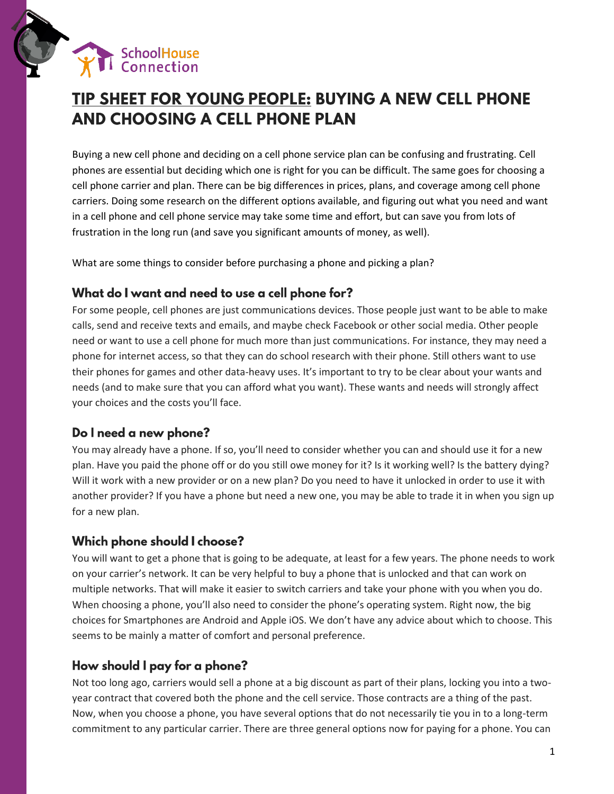

# TIP SHEET FOR YOUNG PEOPLE: BUYING A NEW CELL PHONE **AND CHOOSING A CELL PHONE PLAN**

Buying a new cell phone and deciding on a cell phone service plan can be confusing and frustrating. Cell phones are essential but deciding which one is right for you can be difficult. The same goes for choosing a cell phone carrier and plan. There can be big differences in prices, plans, and coverage among cell phone carriers. Doing some research on the different options available, and figuring out what you need and want in a cell phone and cell phone service may take some time and effort, but can save you from lots of frustration in the long run (and save you significant amounts of money, as well).

What are some things to consider before purchasing a phone and picking a plan?

# What do I want and need to use a cell phone for?

For some people, cell phones are just communications devices. Those people just want to be able to make calls, send and receive texts and emails, and maybe check Facebook or other social media. Other people need or want to use a cell phone for much more than just communications. For instance, they may need a phone for internet access, so that they can do school research with their phone. Still others want to use their phones for games and other data-heavy uses. It's important to try to be clear about your wants and needs (and to make sure that you can afford what you want). These wants and needs will strongly affect your choices and the costs you'll face.

# Do I need a new phone?

You may already have a phone. If so, you'll need to consider whether you can and should use it for a new plan. Have you paid the phone off or do you still owe money for it? Is it working well? Is the battery dying? Will it work with a new provider or on a new plan? Do you need to have it unlocked in order to use it with another provider? If you have a phone but need a new one, you may be able to trade it in when you sign up for a new plan.

## Which phone should I choose?

You will want to get a phone that is going to be adequate, at least for a few years. The phone needs to work on your carrier's network. It can be very helpful to buy a phone that is unlocked and that can work on multiple networks. That will make it easier to switch carriers and take your phone with you when you do. When choosing a phone, you'll also need to consider the phone's operating system. Right now, the big choices for Smartphones are Android and Apple iOS. We don't have any advice about which to choose. This seems to be mainly a matter of comfort and personal preference.

# How should I pay for a phone?

Not too long ago, carriers would sell a phone at a big discount as part of their plans, locking you into a twoyear contract that covered both the phone and the cell service. Those contracts are a thing of the past. Now, when you choose a phone, you have several options that do not necessarily tie you in to a long-term commitment to any particular carrier. There are three general options now for paying for a phone. You can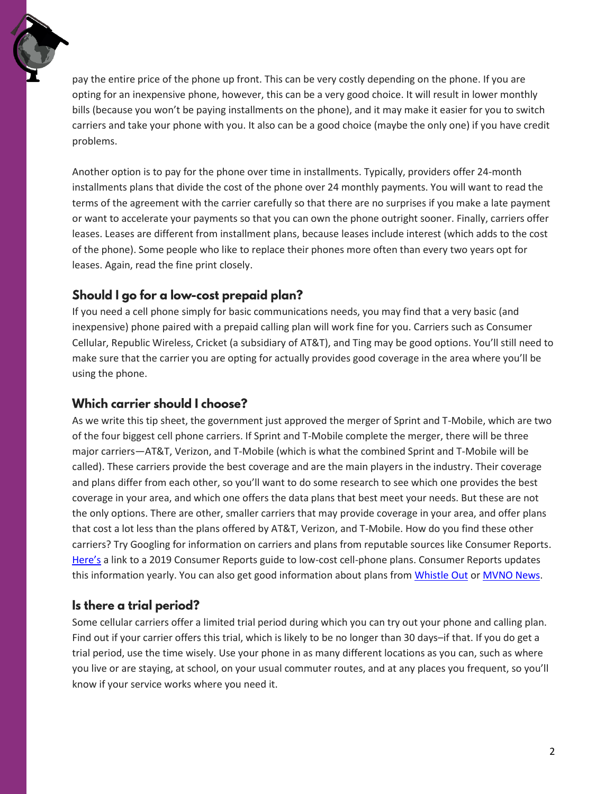pay the entire price of the phone up front. This can be very costly depending on the phone. If you are opting for an inexpensive phone, however, this can be a very good choice. It will result in lower monthly bills (because you won't be paying installments on the phone), and it may make it easier for you to switch carriers and take your phone with you. It also can be a good choice (maybe the only one) if you have credit problems.

Another option is to pay for the phone over time in installments. Typically, providers offer 24-month installments plans that divide the cost of the phone over 24 monthly payments. You will want to read the terms of the agreement with the carrier carefully so that there are no surprises if you make a late payment or want to accelerate your payments so that you can own the phone outright sooner. Finally, carriers offer leases. Leases are different from installment plans, because leases include interest (which adds to the cost of the phone). Some people who like to replace their phones more often than every two years opt for leases. Again, read the fine print closely.

# Should I go for a low-cost prepaid plan?

If you need a cell phone simply for basic communications needs, you may find that a very basic (and inexpensive) phone paired with a prepaid calling plan will work fine for you. Carriers such as Consumer Cellular, Republic Wireless, Cricket (a subsidiary of AT&T), and Ting may be good options. You'll still need to make sure that the carrier you are opting for actually provides good coverage in the area where you'll be using the phone.

# Which carrier should I choose?

As we write this tip sheet, the government just approved the merger of Sprint and T-Mobile, which are two of the four biggest cell phone carriers. If Sprint and T-Mobile complete the merger, there will be three major carriers—AT&T, Verizon, and T-Mobile (which is what the combined Sprint and T-Mobile will be called). These carriers provide the best coverage and are the main players in the industry. Their coverage and plans differ from each other, so you'll want to do some research to see which one provides the best coverage in your area, and which one offers the data plans that best meet your needs. But these are not the only options. There are other, smaller carriers that may provide coverage in your area, and offer plans that cost a lot less than the plans offered by AT&T, Verizon, and T-Mobile. How do you find these other carriers? Try Googling for information on carriers and plans from reputable sources like Consumer Reports. [Here's](https://www.consumerreports.org/cell-phone-service-providers/best-low-cost-cell-phone-plans/) a link to a 2019 Consumer Reports guide to low-cost cell-phone plans. Consumer Reports updates this information yearly. You can also get good information about plans from [Whistle Out](https://www.whistleout.com/) o[r MVNO News.](https://bestmvno.com/)

# Is there a trial period?

Some cellular carriers offer a limited trial period during which you can try out your phone and calling plan. Find out if your carrier offers this trial, which is likely to be no longer than 30 days–if that. If you do get a trial period, use the time wisely. Use your phone in as many different locations as you can, such as where you live or are staying, at school, on your usual commuter routes, and at any places you frequent, so you'll know if your service works where you need it.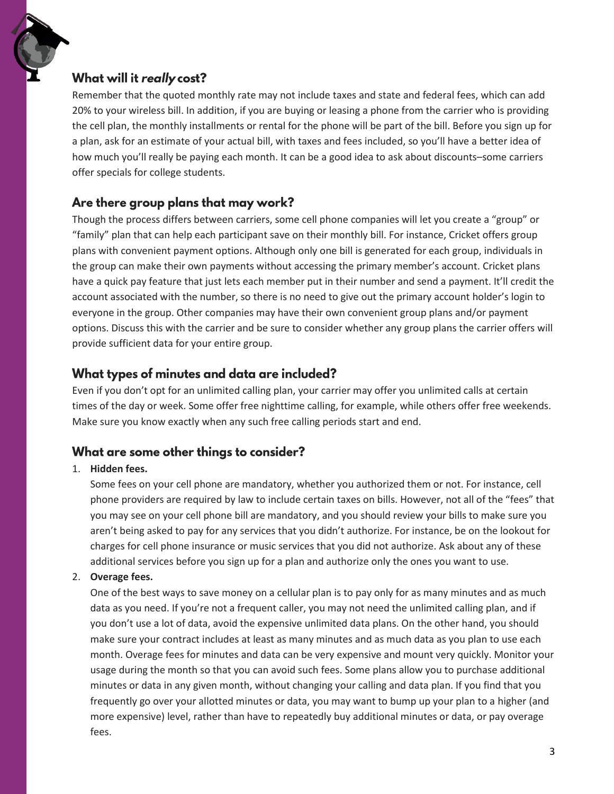## What will it really cost?

Remember that the quoted monthly rate may not include taxes and state and federal fees, which can add 20% to your wireless bill. In addition, if you are buying or leasing a phone from the carrier who is providing the cell plan, the monthly installments or rental for the phone will be part of the bill. Before you sign up for a plan, ask for an estimate of your actual bill, with taxes and fees included, so you'll have a better idea of how much you'll really be paying each month. It can be a good idea to ask about discounts–some carriers offer specials for college students.

## Are there group plans that may work?

Though the process differs between carriers, some cell phone companies will let you create a "group" or "family" plan that can help each participant save on their monthly bill. For instance, Cricket offers group plans with convenient payment options. Although only one bill is generated for each group, individuals in the group can make their own payments without accessing the primary member's account. Cricket plans have a quick pay feature that just lets each member put in their number and send a payment. It'll credit the account associated with the number, so there is no need to give out the primary account holder's login to everyone in the group. Other companies may have their own convenient group plans and/or payment options. Discuss this with the carrier and be sure to consider whether any group plans the carrier offers will provide sufficient data for your entire group.

## What types of minutes and data are included?

Even if you don't opt for an unlimited calling plan, your carrier may offer you unlimited calls at certain times of the day or week. Some offer free nighttime calling, for example, while others offer free weekends. Make sure you know exactly when any such free calling periods start and end.

## What are some other things to consider?

## 1. **Hidden fees.**

Some fees on your cell phone are mandatory, whether you authorized them or not. For instance, cell phone providers are required by law to include certain taxes on bills. However, not all of the "fees" that you may see on your cell phone bill are mandatory, and you should review your bills to make sure you aren't being asked to pay for any services that you didn't authorize. For instance, be on the lookout for charges for cell phone insurance or music services that you did not authorize. Ask about any of these additional services before you sign up for a plan and authorize only the ones you want to use.

#### 2. **Overage fees.**

One of the best ways to save money on a cellular plan is to pay only for as many minutes and as much data as you need. If you're not a frequent caller, you may not need the unlimited calling plan, and if you don't use a lot of data, avoid the expensive unlimited data plans. On the other hand, you should make sure your contract includes at least as many minutes and as much data as you plan to use each month. Overage fees for minutes and data can be very expensive and mount very quickly. Monitor your usage during the month so that you can avoid such fees. Some plans allow you to purchase additional minutes or data in any given month, without changing your calling and data plan. If you find that you frequently go over your allotted minutes or data, you may want to bump up your plan to a higher (and more expensive) level, rather than have to repeatedly buy additional minutes or data, or pay overage fees.